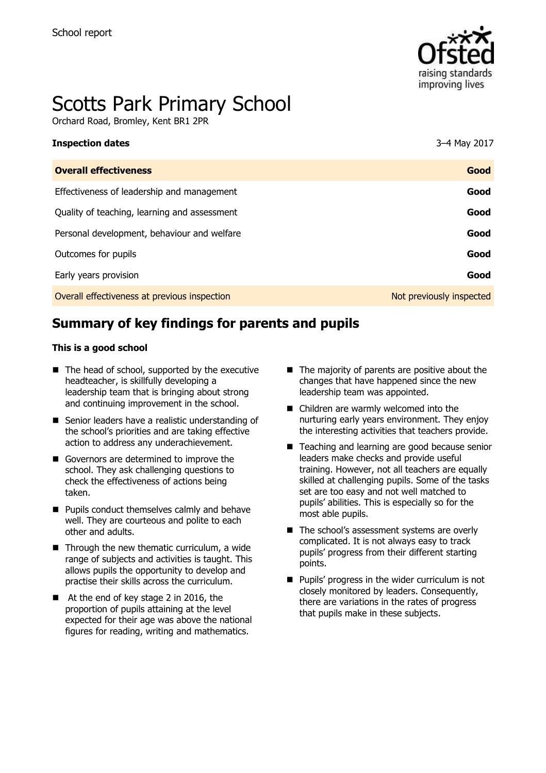

# Scotts Park Primary School

Orchard Road, Bromley, Kent BR1 2PR

| <b>Inspection dates</b>                      | 3-4 May 2017             |
|----------------------------------------------|--------------------------|
| <b>Overall effectiveness</b>                 | Good                     |
| Effectiveness of leadership and management   | Good                     |
| Quality of teaching, learning and assessment | Good                     |
| Personal development, behaviour and welfare  | Good                     |
| Outcomes for pupils                          | Good                     |
| Early years provision                        | Good                     |
| Overall effectiveness at previous inspection | Not previously inspected |

# **Summary of key findings for parents and pupils**

#### **This is a good school**

- $\blacksquare$  The head of school, supported by the executive headteacher, is skillfully developing a leadership team that is bringing about strong and continuing improvement in the school.
- Senior leaders have a realistic understanding of the school's priorities and are taking effective action to address any underachievement.
- Governors are determined to improve the school. They ask challenging questions to check the effectiveness of actions being taken.
- **Pupils conduct themselves calmly and behave** well. They are courteous and polite to each other and adults.
- $\blacksquare$  Through the new thematic curriculum, a wide range of subjects and activities is taught. This allows pupils the opportunity to develop and practise their skills across the curriculum.
- At the end of key stage 2 in 2016, the proportion of pupils attaining at the level expected for their age was above the national figures for reading, writing and mathematics.
- $\blacksquare$  The majority of parents are positive about the changes that have happened since the new leadership team was appointed.
- Children are warmly welcomed into the nurturing early years environment. They enjoy the interesting activities that teachers provide.
- Teaching and learning are good because senior leaders make checks and provide useful training. However, not all teachers are equally skilled at challenging pupils. Some of the tasks set are too easy and not well matched to pupils' abilities. This is especially so for the most able pupils.
- The school's assessment systems are overly complicated. It is not always easy to track pupils' progress from their different starting points.
- **Pupils' progress in the wider curriculum is not** closely monitored by leaders. Consequently, there are variations in the rates of progress that pupils make in these subjects.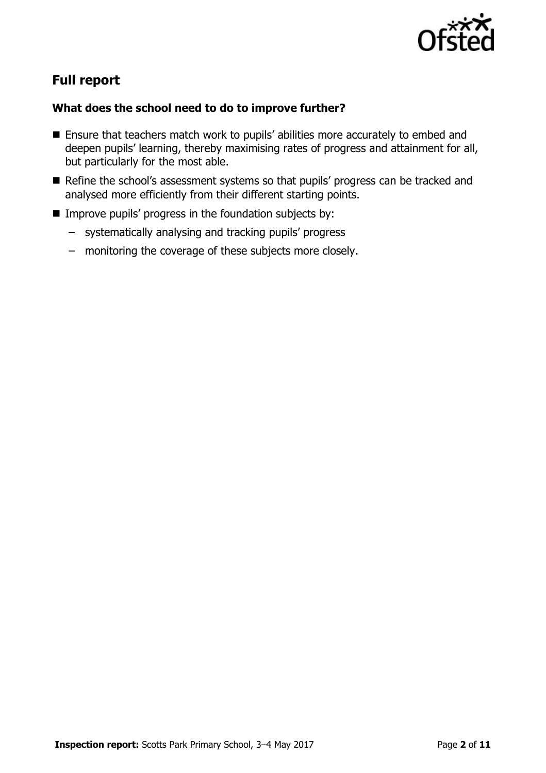

# **Full report**

### **What does the school need to do to improve further?**

- Ensure that teachers match work to pupils' abilities more accurately to embed and deepen pupils' learning, thereby maximising rates of progress and attainment for all, but particularly for the most able.
- Refine the school's assessment systems so that pupils' progress can be tracked and analysed more efficiently from their different starting points.
- $\blacksquare$  Improve pupils' progress in the foundation subjects by:
	- systematically analysing and tracking pupils' progress
	- monitoring the coverage of these subjects more closely.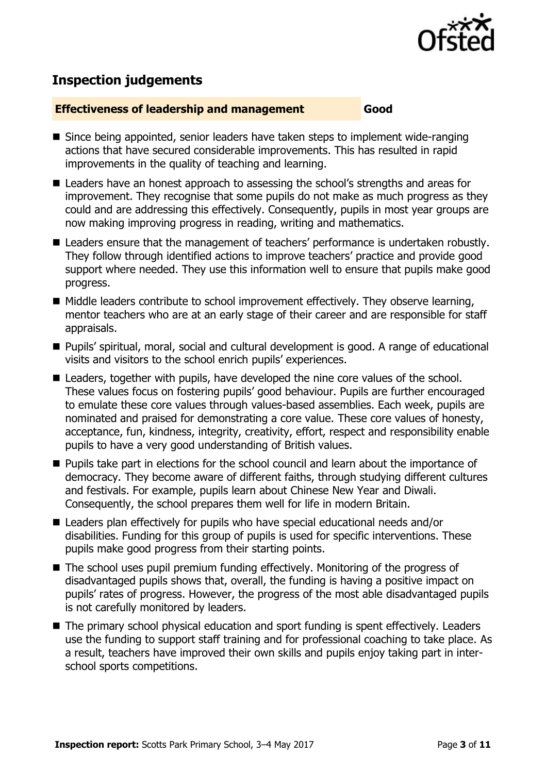

# **Inspection judgements**

#### **Effectiveness of leadership and management Good**

- Since being appointed, senior leaders have taken steps to implement wide-ranging actions that have secured considerable improvements. This has resulted in rapid improvements in the quality of teaching and learning.
- Leaders have an honest approach to assessing the school's strengths and areas for improvement. They recognise that some pupils do not make as much progress as they could and are addressing this effectively. Consequently, pupils in most year groups are now making improving progress in reading, writing and mathematics.
- Leaders ensure that the management of teachers' performance is undertaken robustly. They follow through identified actions to improve teachers' practice and provide good support where needed. They use this information well to ensure that pupils make good progress.
- Middle leaders contribute to school improvement effectively. They observe learning, mentor teachers who are at an early stage of their career and are responsible for staff appraisals.
- Pupils' spiritual, moral, social and cultural development is good. A range of educational visits and visitors to the school enrich pupils' experiences.
- Leaders, together with pupils, have developed the nine core values of the school. These values focus on fostering pupils' good behaviour. Pupils are further encouraged to emulate these core values through values-based assemblies. Each week, pupils are nominated and praised for demonstrating a core value. These core values of honesty, acceptance, fun, kindness, integrity, creativity, effort, respect and responsibility enable pupils to have a very good understanding of British values.
- **Pupils take part in elections for the school council and learn about the importance of** democracy. They become aware of different faiths, through studying different cultures and festivals. For example, pupils learn about Chinese New Year and Diwali. Consequently, the school prepares them well for life in modern Britain.
- Leaders plan effectively for pupils who have special educational needs and/or disabilities. Funding for this group of pupils is used for specific interventions. These pupils make good progress from their starting points.
- The school uses pupil premium funding effectively. Monitoring of the progress of disadvantaged pupils shows that, overall, the funding is having a positive impact on pupils' rates of progress. However, the progress of the most able disadvantaged pupils is not carefully monitored by leaders.
- The primary school physical education and sport funding is spent effectively. Leaders use the funding to support staff training and for professional coaching to take place. As a result, teachers have improved their own skills and pupils enjoy taking part in interschool sports competitions.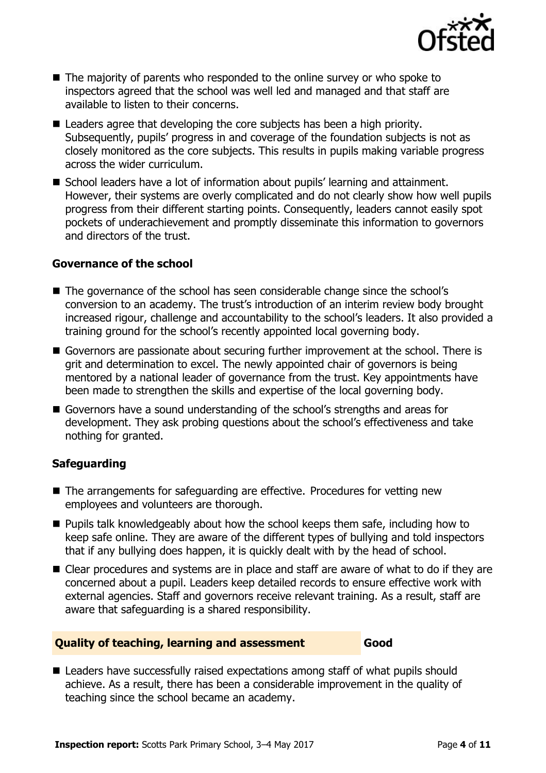

- The majority of parents who responded to the online survey or who spoke to inspectors agreed that the school was well led and managed and that staff are available to listen to their concerns.
- Leaders agree that developing the core subjects has been a high priority. Subsequently, pupils' progress in and coverage of the foundation subjects is not as closely monitored as the core subjects. This results in pupils making variable progress across the wider curriculum.
- School leaders have a lot of information about pupils' learning and attainment. However, their systems are overly complicated and do not clearly show how well pupils progress from their different starting points. Consequently, leaders cannot easily spot pockets of underachievement and promptly disseminate this information to governors and directors of the trust.

#### **Governance of the school**

- The governance of the school has seen considerable change since the school's conversion to an academy. The trust's introduction of an interim review body brought increased rigour, challenge and accountability to the school's leaders. It also provided a training ground for the school's recently appointed local governing body.
- Governors are passionate about securing further improvement at the school. There is grit and determination to excel. The newly appointed chair of governors is being mentored by a national leader of governance from the trust. Key appointments have been made to strengthen the skills and expertise of the local governing body.
- Governors have a sound understanding of the school's strengths and areas for development. They ask probing questions about the school's effectiveness and take nothing for granted.

#### **Safeguarding**

- The arrangements for safeguarding are effective. Procedures for vetting new employees and volunteers are thorough.
- $\blacksquare$  Pupils talk knowledgeably about how the school keeps them safe, including how to keep safe online. They are aware of the different types of bullying and told inspectors that if any bullying does happen, it is quickly dealt with by the head of school.
- Clear procedures and systems are in place and staff are aware of what to do if they are concerned about a pupil. Leaders keep detailed records to ensure effective work with external agencies. Staff and governors receive relevant training. As a result, staff are aware that safeguarding is a shared responsibility.

#### **Quality of teaching, learning and assessment Good**

■ Leaders have successfully raised expectations among staff of what pupils should achieve. As a result, there has been a considerable improvement in the quality of teaching since the school became an academy.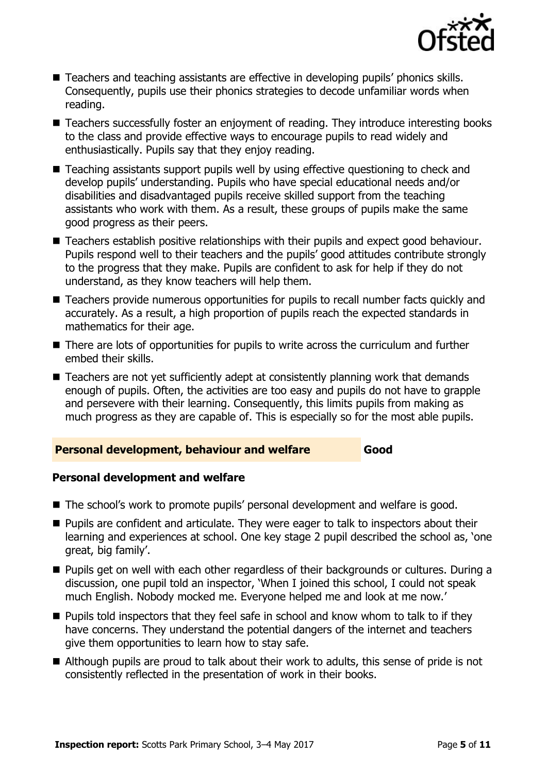

- Teachers and teaching assistants are effective in developing pupils' phonics skills. Consequently, pupils use their phonics strategies to decode unfamiliar words when reading.
- Teachers successfully foster an enjoyment of reading. They introduce interesting books to the class and provide effective ways to encourage pupils to read widely and enthusiastically. Pupils say that they enjoy reading.
- Teaching assistants support pupils well by using effective questioning to check and develop pupils' understanding. Pupils who have special educational needs and/or disabilities and disadvantaged pupils receive skilled support from the teaching assistants who work with them. As a result, these groups of pupils make the same good progress as their peers.
- Teachers establish positive relationships with their pupils and expect good behaviour. Pupils respond well to their teachers and the pupils' good attitudes contribute strongly to the progress that they make. Pupils are confident to ask for help if they do not understand, as they know teachers will help them.
- Teachers provide numerous opportunities for pupils to recall number facts quickly and accurately. As a result, a high proportion of pupils reach the expected standards in mathematics for their age.
- There are lots of opportunities for pupils to write across the curriculum and further embed their skills.
- Teachers are not vet sufficiently adept at consistently planning work that demands enough of pupils. Often, the activities are too easy and pupils do not have to grapple and persevere with their learning. Consequently, this limits pupils from making as much progress as they are capable of. This is especially so for the most able pupils.

#### **Personal development, behaviour and welfare Good**

### **Personal development and welfare**

- The school's work to promote pupils' personal development and welfare is good.
- **Pupils are confident and articulate. They were eager to talk to inspectors about their** learning and experiences at school. One key stage 2 pupil described the school as, 'one great, big family'.
- **Pupils get on well with each other regardless of their backgrounds or cultures. During a** discussion, one pupil told an inspector, 'When I joined this school, I could not speak much English. Nobody mocked me. Everyone helped me and look at me now.'
- $\blacksquare$  Pupils told inspectors that they feel safe in school and know whom to talk to if they have concerns. They understand the potential dangers of the internet and teachers give them opportunities to learn how to stay safe.
- Although pupils are proud to talk about their work to adults, this sense of pride is not consistently reflected in the presentation of work in their books.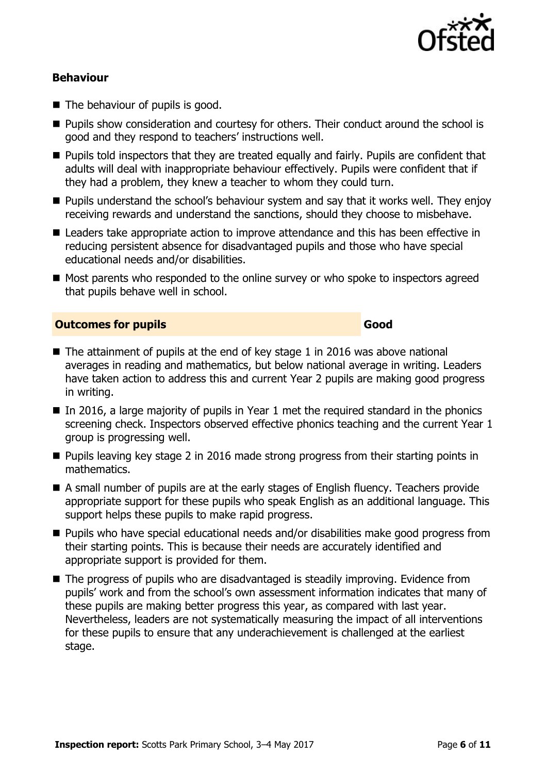

#### **Behaviour**

- The behaviour of pupils is good.
- **Pupils show consideration and courtesy for others. Their conduct around the school is** good and they respond to teachers' instructions well.
- **Pupils told inspectors that they are treated equally and fairly. Pupils are confident that** adults will deal with inappropriate behaviour effectively. Pupils were confident that if they had a problem, they knew a teacher to whom they could turn.
- **Pupils understand the school's behaviour system and say that it works well. They enjoy** receiving rewards and understand the sanctions, should they choose to misbehave.
- Leaders take appropriate action to improve attendance and this has been effective in reducing persistent absence for disadvantaged pupils and those who have special educational needs and/or disabilities.
- Most parents who responded to the online survey or who spoke to inspectors agreed that pupils behave well in school.

#### **Outcomes for pupils Good**

- $\blacksquare$  The attainment of pupils at the end of key stage 1 in 2016 was above national averages in reading and mathematics, but below national average in writing. Leaders have taken action to address this and current Year 2 pupils are making good progress in writing.
- $\blacksquare$  In 2016, a large majority of pupils in Year 1 met the required standard in the phonics screening check. Inspectors observed effective phonics teaching and the current Year 1 group is progressing well.
- **Pupils leaving key stage 2 in 2016 made strong progress from their starting points in** mathematics.
- A small number of pupils are at the early stages of English fluency. Teachers provide appropriate support for these pupils who speak English as an additional language. This support helps these pupils to make rapid progress.
- Pupils who have special educational needs and/or disabilities make good progress from their starting points. This is because their needs are accurately identified and appropriate support is provided for them.
- The progress of pupils who are disadvantaged is steadily improving. Evidence from pupils' work and from the school's own assessment information indicates that many of these pupils are making better progress this year, as compared with last year. Nevertheless, leaders are not systematically measuring the impact of all interventions for these pupils to ensure that any underachievement is challenged at the earliest stage.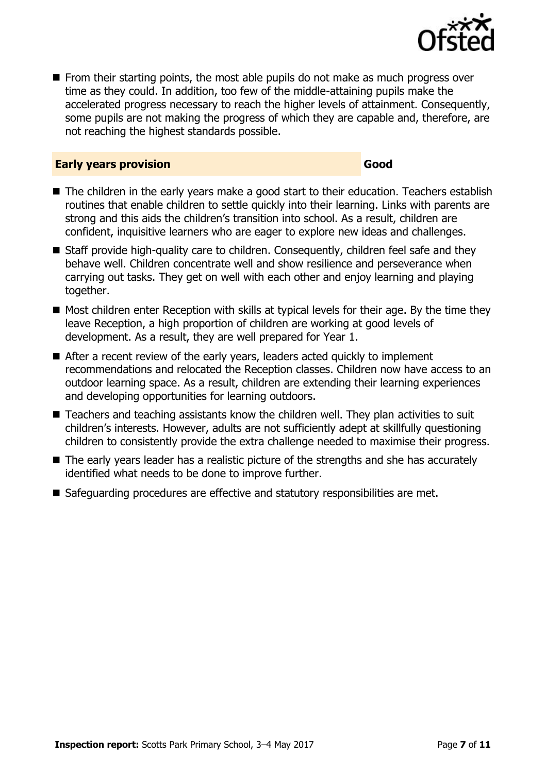

 $\blacksquare$  From their starting points, the most able pupils do not make as much progress over time as they could. In addition, too few of the middle-attaining pupils make the accelerated progress necessary to reach the higher levels of attainment. Consequently, some pupils are not making the progress of which they are capable and, therefore, are not reaching the highest standards possible.

#### **Early years provision Good Good**

- The children in the early years make a good start to their education. Teachers establish routines that enable children to settle quickly into their learning. Links with parents are strong and this aids the children's transition into school. As a result, children are confident, inquisitive learners who are eager to explore new ideas and challenges.
- Staff provide high-quality care to children. Consequently, children feel safe and they behave well. Children concentrate well and show resilience and perseverance when carrying out tasks. They get on well with each other and enjoy learning and playing together.
- $\blacksquare$  Most children enter Reception with skills at typical levels for their age. By the time they leave Reception, a high proportion of children are working at good levels of development. As a result, they are well prepared for Year 1.
- After a recent review of the early years, leaders acted quickly to implement recommendations and relocated the Reception classes. Children now have access to an outdoor learning space. As a result, children are extending their learning experiences and developing opportunities for learning outdoors.
- Teachers and teaching assistants know the children well. They plan activities to suit children's interests. However, adults are not sufficiently adept at skillfully questioning children to consistently provide the extra challenge needed to maximise their progress.
- The early years leader has a realistic picture of the strengths and she has accurately identified what needs to be done to improve further.
- Safeguarding procedures are effective and statutory responsibilities are met.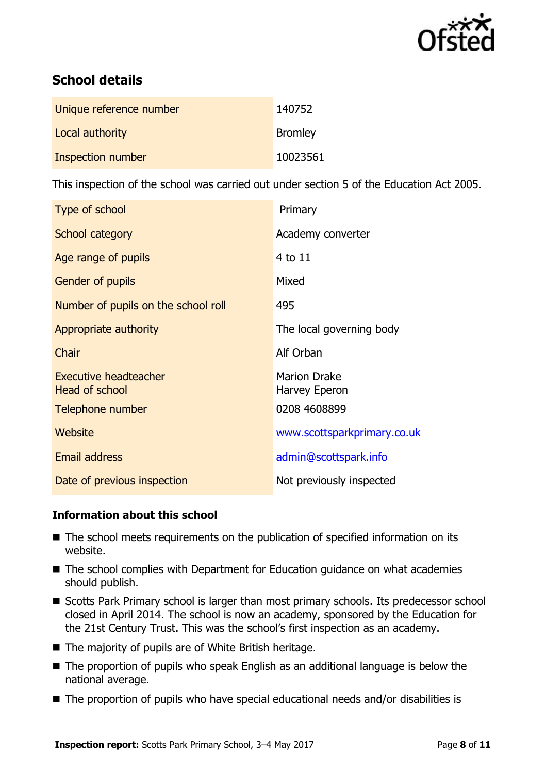

# **School details**

| Unique reference number | 140752         |
|-------------------------|----------------|
| Local authority         | <b>Bromley</b> |
| Inspection number       | 10023561       |

This inspection of the school was carried out under section 5 of the Education Act 2005.

| Type of school                                        | Primary                              |
|-------------------------------------------------------|--------------------------------------|
| School category                                       | Academy converter                    |
| Age range of pupils                                   | 4 to 11                              |
| Gender of pupils                                      | Mixed                                |
| Number of pupils on the school roll                   | 495                                  |
| Appropriate authority                                 | The local governing body             |
| Chair                                                 | Alf Orban                            |
| <b>Executive headteacher</b><br><b>Head of school</b> | <b>Marion Drake</b><br>Harvey Eperon |
| Telephone number                                      | 0208 4608899                         |
| Website                                               | www.scottsparkprimary.co.uk          |
| <b>Email address</b>                                  | admin@scottspark.info                |
| Date of previous inspection                           | Not previously inspected             |

### **Information about this school**

- The school meets requirements on the publication of specified information on its website.
- The school complies with Department for Education guidance on what academies should publish.
- Scotts Park Primary school is larger than most primary schools. Its predecessor school closed in April 2014. The school is now an academy, sponsored by the Education for the 21st Century Trust. This was the school's first inspection as an academy.
- $\blacksquare$  The majority of pupils are of White British heritage.
- The proportion of pupils who speak English as an additional language is below the national average.
- The proportion of pupils who have special educational needs and/or disabilities is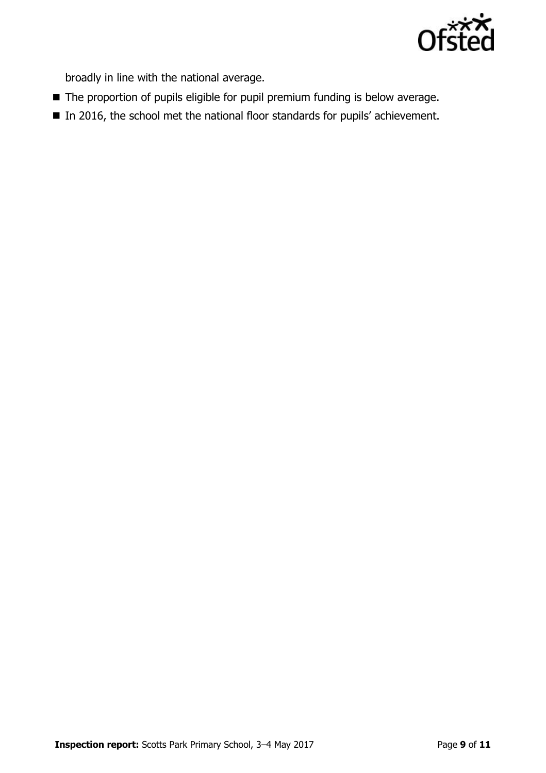

broadly in line with the national average.

- The proportion of pupils eligible for pupil premium funding is below average.
- In 2016, the school met the national floor standards for pupils' achievement.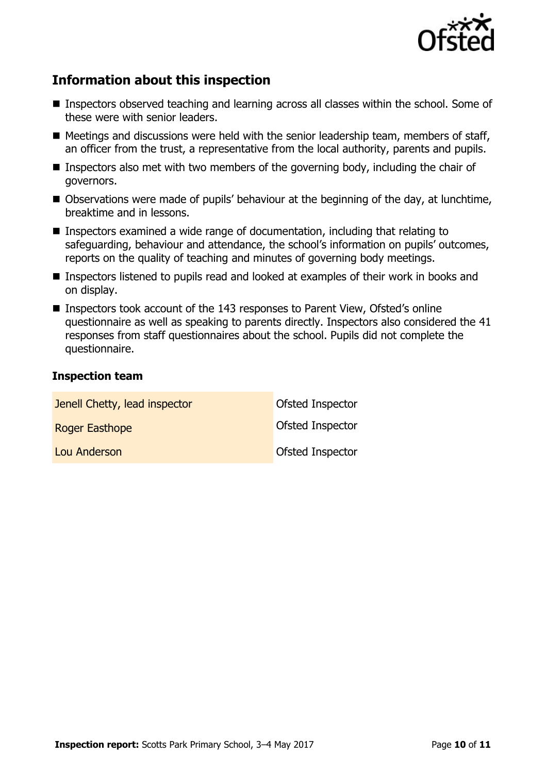

# **Information about this inspection**

- Inspectors observed teaching and learning across all classes within the school. Some of these were with senior leaders.
- $\blacksquare$  Meetings and discussions were held with the senior leadership team, members of staff, an officer from the trust, a representative from the local authority, parents and pupils.
- **Inspectors also met with two members of the governing body, including the chair of** governors.
- Observations were made of pupils' behaviour at the beginning of the day, at lunchtime, breaktime and in lessons.
- Inspectors examined a wide range of documentation, including that relating to safeguarding, behaviour and attendance, the school's information on pupils' outcomes, reports on the quality of teaching and minutes of governing body meetings.
- Inspectors listened to pupils read and looked at examples of their work in books and on display.
- Inspectors took account of the 143 responses to Parent View, Ofsted's online questionnaire as well as speaking to parents directly. Inspectors also considered the 41 responses from staff questionnaires about the school. Pupils did not complete the questionnaire.

#### **Inspection team**

| Jenell Chetty, lead inspector | Ofsted Inspector        |
|-------------------------------|-------------------------|
| Roger Easthope                | <b>Ofsted Inspector</b> |
| Lou Anderson                  | <b>Ofsted Inspector</b> |